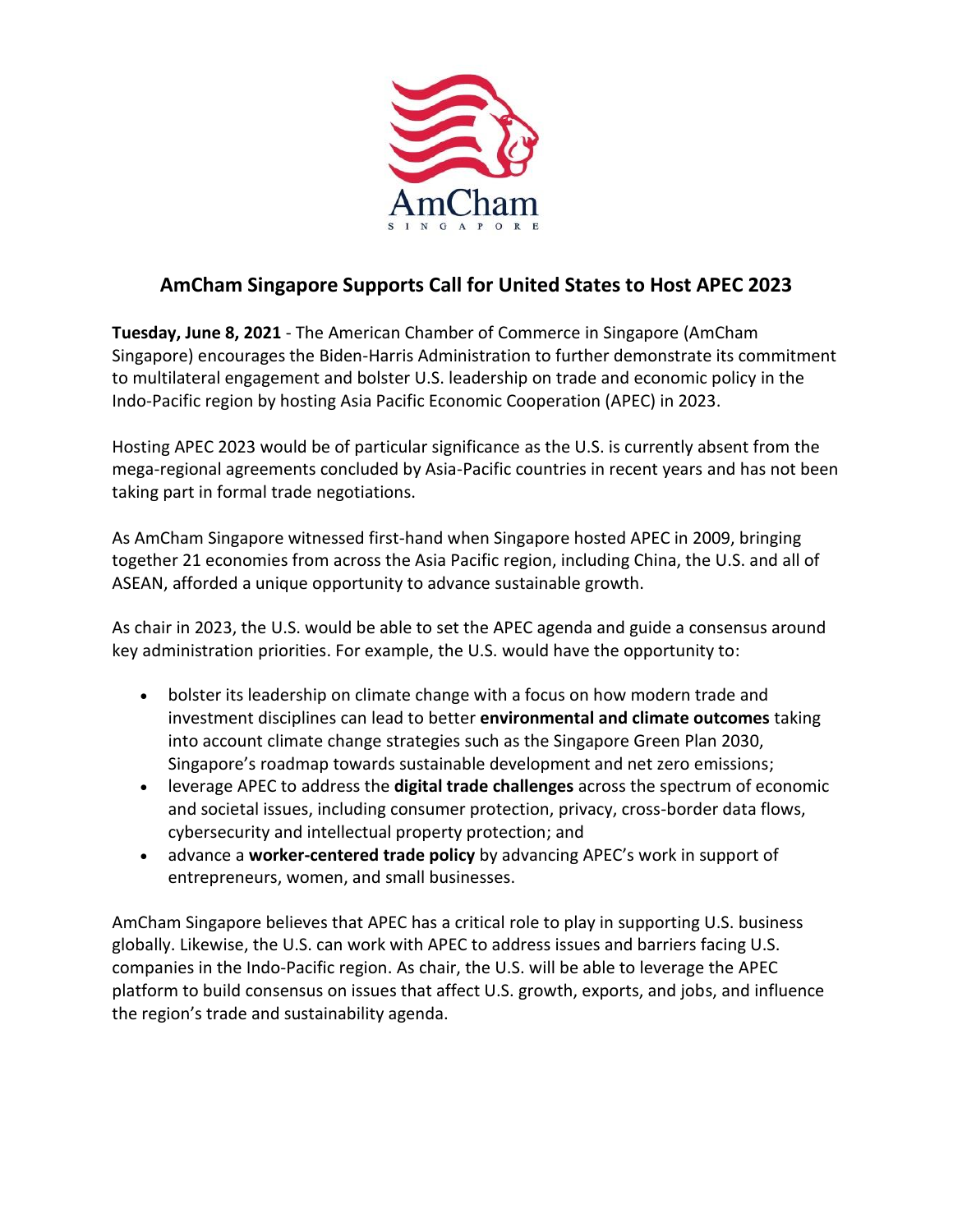

## **AmCham Singapore Supports Call for United States to Host APEC 2023**

**Tuesday, June 8, 2021** - The American Chamber of Commerce in Singapore (AmCham Singapore) encourages the Biden-Harris Administration to further demonstrate its commitment to multilateral engagement and bolster U.S. leadership on trade and economic policy in the Indo-Pacific region by hosting Asia Pacific Economic Cooperation (APEC) in 2023.

Hosting APEC 2023 would be of particular significance as the U.S. is currently absent from the mega-regional agreements concluded by Asia-Pacific countries in recent years and has not been taking part in formal trade negotiations.

As AmCham Singapore witnessed first-hand when Singapore hosted APEC in 2009, bringing together 21 economies from across the Asia Pacific region, including China, the U.S. and all of ASEAN, afforded a unique opportunity to advance sustainable growth.

As chair in 2023, the U.S. would be able to set the APEC agenda and guide a consensus around key administration priorities. For example, the U.S. would have the opportunity to:

- bolster its leadership on climate change with a focus on how modern trade and investment disciplines can lead to better **environmental and climate outcomes** taking into account climate change strategies such as the Singapore Green Plan 2030, Singapore's roadmap towards sustainable development and net zero emissions;
- leverage APEC to address the **digital trade challenges** across the spectrum of economic and societal issues, including consumer protection, privacy, cross-border data flows, cybersecurity and intellectual property protection; and
- advance a **worker-centered trade policy** by advancing APEC's work in support of entrepreneurs, women, and small businesses.

AmCham Singapore believes that APEC has a critical role to play in supporting U.S. business globally. Likewise, the U.S. can work with APEC to address issues and barriers facing U.S. companies in the Indo-Pacific region. As chair, the U.S. will be able to leverage the APEC platform to build consensus on issues that affect U.S. growth, exports, and jobs, and influence the region's trade and sustainability agenda.